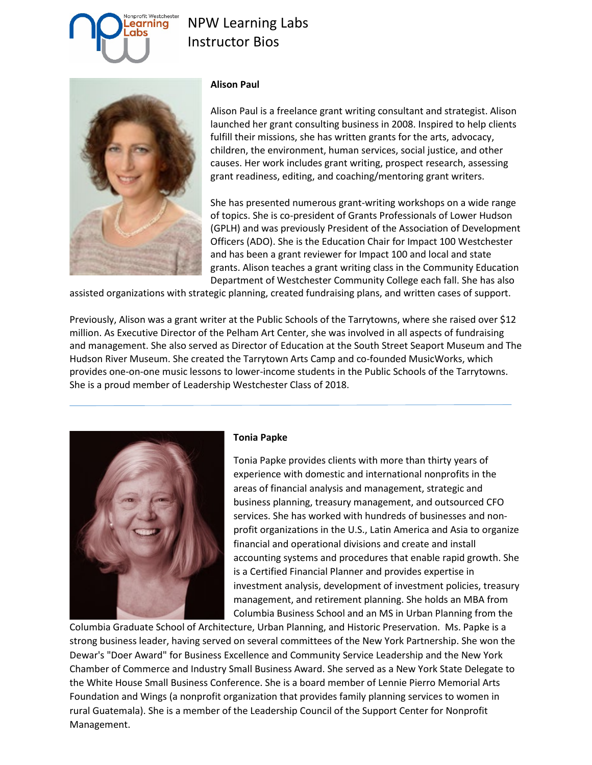# profit Westchester earning

## NPW Learning Labs Instructor Bios



#### **Alison Paul**

Alison Paul is a freelance grant writing consultant and strategist. Alison launched her grant consulting business in 2008. Inspired to help clients fulfill their missions, she has written grants for the arts, advocacy, children, the environment, human services, social justice, and other causes. Her work includes grant writing, prospect research, assessing grant readiness, editing, and coaching/mentoring grant writers.

She has presented numerous grant-writing workshops on a wide range of topics. She is co-president of Grants Professionals of Lower Hudson (GPLH) and was previously President of the Association of Development Officers (ADO). She is the Education Chair for Impact 100 Westchester and has been a grant reviewer for Impact 100 and local and state grants. Alison teaches a grant writing class in the Community Education Department of Westchester Community College each fall. She has also

assisted organizations with strategic planning, created fundraising plans, and written cases of support.

Previously, Alison was a grant writer at the Public Schools of the Tarrytowns, where she raised over \$12 million. As Executive Director of the Pelham Art Center, she was involved in all aspects of fundraising and management. She also served as Director of Education at the South Street Seaport Museum and The Hudson River Museum. She created the Tarrytown Arts Camp and co-founded MusicWorks, which provides one-on-one music lessons to lower-income students in the Public Schools of the Tarrytowns. She is a proud member of Leadership Westchester Class of 2018.



#### **Tonia Papke**

Tonia Papke provides clients with more than thirty years of experience with domestic and international nonprofits in the areas of financial analysis and management, strategic and business planning, treasury management, and outsourced CFO services. She has worked with hundreds of businesses and nonprofit organizations in the U.S., Latin America and Asia to organize financial and operational divisions and create and install accounting systems and procedures that enable rapid growth. She is a Certified Financial Planner and provides expertise in investment analysis, development of investment policies, treasury management, and retirement planning. She holds an MBA from Columbia Business School and an MS in Urban Planning from the

Columbia Graduate School of Architecture, Urban Planning, and Historic Preservation. Ms. Papke is a strong business leader, having served on several committees of the New York Partnership. She won the Dewar's "Doer Award" for Business Excellence and Community Service Leadership and the New York Chamber of Commerce and Industry Small Business Award. She served as a New York State Delegate to the White House Small Business Conference. She is a board member of Lennie Pierro Memorial Arts Foundation and Wings (a nonprofit organization that provides family planning services to women in rural Guatemala). She is a member of the Leadership Council of the Support Center for Nonprofit Management.